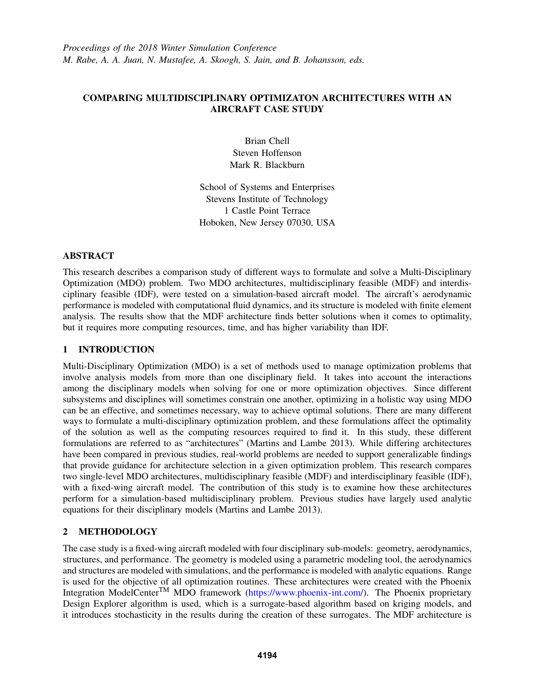# COMPARING MULTIDISCIPLINARY OPTIMIZATON ARCHITECTURES WITH AN AIRCRAFT CASE STUDY

Brian Chell Steven Hoffenson Mark R. Blackburn

School of Systems and Enterprises Stevens Institute of Technology 1 Castle Point Terrace Hoboken, New Jersey 07030, USA

## ABSTRACT

This research describes a comparison study of different ways to formulate and solve a Multi-Disciplinary Optimization (MDO) problem. Two MDO architectures, multidisciplinary feasible (MDF) and interdisciplinary feasible (IDF), were tested on a simulation-based aircraft model. The aircraft's aerodynamic performance is modeled with computational fluid dynamics, and its structure is modeled with finite element analysis. The results show that the MDF architecture finds better solutions when it comes to optimality, but it requires more computing resources, time, and has higher variability than IDF.

## 1 INTRODUCTION

Multi-Disciplinary Optimization (MDO) is a set of methods used to manage optimization problems that involve analysis models from more than one disciplinary field. It takes into account the interactions among the disciplinary models when solving for one or more optimization objectives. Since different subsystems and disciplines will sometimes constrain one another, optimizing in a holistic way using MDO can be an effective, and sometimes necessary, way to achieve optimal solutions. There are many different ways to formulate a multi-disciplinary optimization problem, and these formulations affect the optimality of the solution as well as the computing resources required to find it. In this study, these different formulations are referred to as "architectures" (Martins and Lambe 2013). While differing architectures have been compared in previous studies, real-world problems are needed to support generalizable findings that provide guidance for architecture selection in a given optimization problem. This research compares two single-level MDO architectures, multidisciplinary feasible (MDF) and interdisciplinary feasible (IDF), with a fixed-wing aircraft model. The contribution of this study is to examine how these architectures perform for a simulation-based multidisciplinary problem. Previous studies have largely used analytic equations for their disciplinary models (Martins and Lambe 2013).

# 2 METHODOLOGY

The case study is a fixed-wing aircraft modeled with four disciplinary sub-models: geometry, aerodynamics, structures, and performance. The geometry is modeled using a parametric modeling tool, the aerodynamics and structures are modeled with simulations, and the performance is modeled with analytic equations. Range is used for the objective of all optimization routines. These architectures were created with the Phoenix Integration ModelCenter<sup>TM</sup> MDO framework (https://www.phoenix-int.com/). The Phoenix proprietary Design Explorer algorithm is used, which is a surrogate-based algorithm based on kriging models, and it introduces stochasticity in the results during the creation of these surrogates. The MDF architecture is